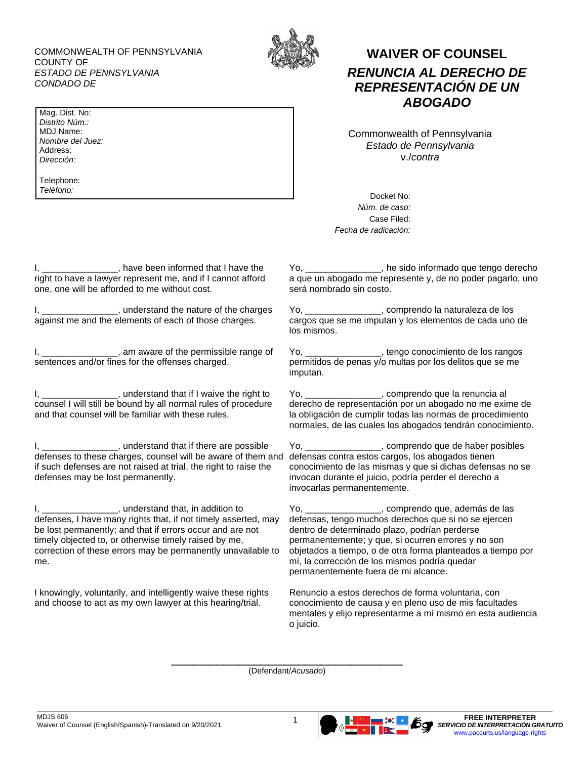COMMONWEALTH OF PENNSYLVANIA COUNTY OF *ESTADO DE PENNSYLVANIA CONDADO DE*

Mag. Dist. No: *Distrito Núm.:* MDJ Name: *Nombre del Juez:* Address: *Dirección:*

Telephone: *Teléfono:*



## **WAIVER OF COUNSEL** *RENUNCIA AL DERECHO DE REPRESENTACIÓN DE UN ABOGADO*

Commonwealth of Pennsylvania *Estado de Pennsylvania* v./*contra*

Docket No: *Núm. de caso:* Case Filed: *Fecha de radicación:*

I, \_\_\_\_\_\_\_\_\_\_\_\_\_\_\_\_, have been informed that I have the right to have a lawyer represent me, and if I cannot afford one, one will be afforded to me without cost.

I, \_\_\_\_\_\_\_\_\_\_\_\_\_\_\_, understand the nature of the charges against me and the elements of each of those charges.

I, \_\_\_\_\_\_\_\_\_\_\_\_\_\_\_, am aware of the permissible range of sentences and/or fines for the offenses charged.

I, \_\_\_\_\_\_\_\_\_\_\_\_\_\_\_\_, understand that if I waive the right to counsel I will still be bound by all normal rules of procedure and that counsel will be familiar with these rules.

I, \_\_\_\_\_\_\_\_\_\_\_\_\_\_\_\_, understand that if there are possible defenses to these charges, counsel will be aware of them and if such defenses are not raised at trial, the right to raise the defenses may be lost permanently.

I, \_\_\_\_\_\_\_\_\_\_\_\_\_\_\_, understand that, in addition to defenses, I have many rights that, if not timely asserted, may be lost permanently; and that if errors occur and are not timely objected to, or otherwise timely raised by me, correction of these errors may be permanently unavailable to me.

I knowingly, voluntarily, and intelligently waive these rights and choose to act as my own lawyer at this hearing/trial.

Yo, \_\_\_\_\_\_\_\_\_\_\_\_\_\_\_, he sido informado que tengo derecho a que un abogado me represente y, de no poder pagarlo, uno será nombrado sin costo.

Yo, \_\_\_\_\_\_\_\_\_\_\_\_\_\_\_, comprendo la naturaleza de los cargos que se me imputan y los elementos de cada uno de los mismos.

Yo, \_\_\_\_\_\_\_\_\_\_\_\_\_\_\_, tengo conocimiento de los rangos permitidos de penas y/o multas por los delitos que se me imputan.

Yo, \_\_\_\_\_\_\_\_\_\_\_\_\_\_\_, comprendo que la renuncia al derecho de representación por un abogado no me exime de la obligación de cumplir todas las normas de procedimiento normales, de las cuales los abogados tendrán conocimiento.

Yo, \_\_\_\_\_\_\_\_\_\_\_\_\_\_\_, comprendo que de haber posibles defensas contra estos cargos, los abogados tienen conocimiento de las mismas y que si dichas defensas no se invocan durante el juicio, podría perder el derecho a invocarlas permanentemente.

Yo, \_\_\_\_\_\_\_\_\_\_\_\_\_\_\_, comprendo que, además de las defensas, tengo muchos derechos que si no se ejercen dentro de determinado plazo, podrían perderse permanentemente; y que, si ocurren errores y no son objetados a tiempo, o de otra forma planteados a tiempo por mí, la corrección de los mismos podría quedar permanentemente fuera de mi alcance.

Renuncio a estos derechos de forma voluntaria, con conocimiento de causa y en pleno uso de mis facultades mentales y elijo representarme a mí mismo en esta audiencia o juicio.

\_\_\_\_\_\_\_\_\_\_\_\_\_\_\_\_\_\_\_\_\_\_\_\_\_\_\_\_\_\_\_ (Defendant/*Acusado*)